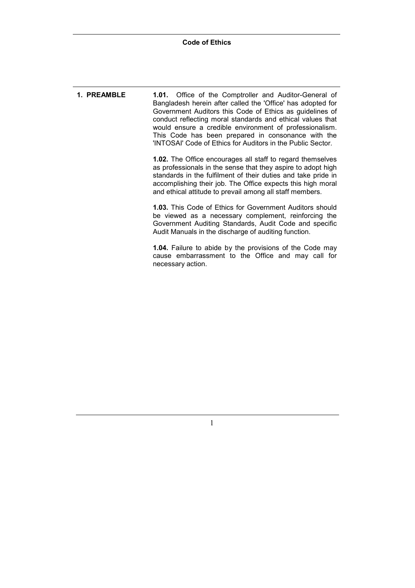**1. PREAMBLE 1.01.** Office of the Comptroller and Auditor-General of Bangladesh herein after called the 'Office' has adopted for Government Auditors this Code of Ethics as guidelines of conduct reflecting moral standards and ethical values that would ensure a credible environment of professionalism. This Code has been prepared in consonance with the 'INTOSAI' Code of Ethics for Auditors in the Public Sector. **1.02.** The Office encourages all staff to regard themselves as professionals in the sense that they aspire to adopt high standards in the fulfilment of their duties and take pride in accomplishing their job. The Office expects this high moral and ethical attitude to prevail among all staff members.

> **1.03.** This Code of Ethics for Government Auditors should be viewed as a necessary complement, reinforcing the Government Auditing Standards, Audit Code and specific Audit Manuals in the discharge of auditing function.

> **1.04.** Failure to abide by the provisions of the Code may cause embarrassment to the Office and may call for necessary action.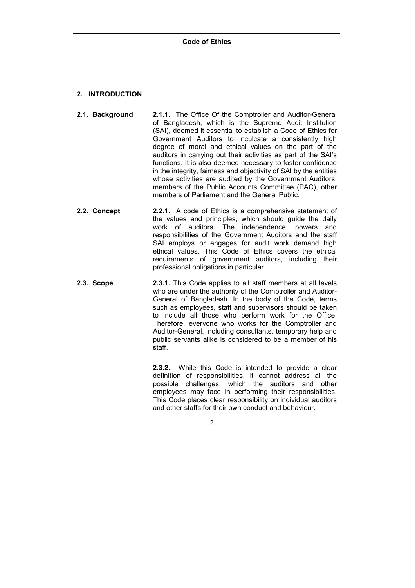# **2. INTRODUCTION**

- **2.1. Background 2.1.1.** The Office Of the Comptroller and Auditor-General of Bangladesh, which is the Supreme Audit Institution (SAI), deemed it essential to establish a Code of Ethics for Government Auditors to inculcate a consistently high degree of moral and ethical values on the part of the auditors in carrying out their activities as part of the SAIís functions. It is also deemed necessary to foster confidence in the integrity, fairness and objectivity of SAI by the entities whose activities are audited by the Government Auditors, members of the Public Accounts Committee (PAC), other members of Parliament and the General Public.
- **2.2. Concept 2.2.1.** A code of Ethics is a comprehensive statement of the values and principles, which should guide the daily work of auditors. The independence, powers and responsibilities of the Government Auditors and the staff SAI employs or engages for audit work demand high ethical values. This Code of Ethics covers the ethical requirements of government auditors, including their professional obligations in particular.
- **2.3. Scope 2.3.1.** This Code applies to all staff members at all levels who are under the authority of the Comptroller and Auditor-General of Bangladesh. In the body of the Code, terms such as employees, staff and supervisors should be taken to include all those who perform work for the Office. Therefore, everyone who works for the Comptroller and Auditor-General, including consultants, temporary help and public servants alike is considered to be a member of his staff.

**2.3.2.** While this Code is intended to provide a clear definition of responsibilities, it cannot address all the possible challenges, which the auditors and other employees may face in performing their responsibilities. This Code places clear responsibility on individual auditors and other staffs for their own conduct and behaviour.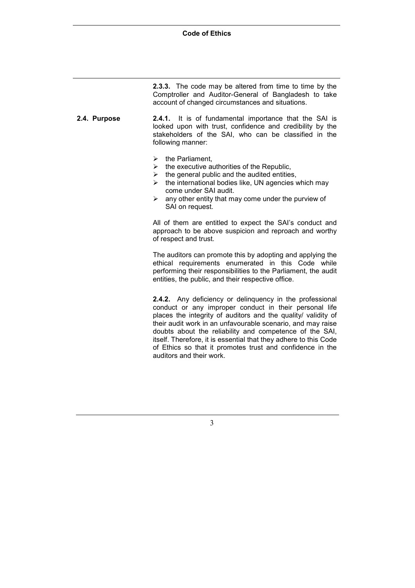**2.3.3.** The code may be altered from time to time by the Comptroller and Auditor-General of Bangladesh to take account of changed circumstances and situations.

**2.4. Purpose 2.4.1.** It is of fundamental importance that the SAI is looked upon with trust, confidence and credibility by the stakeholders of the SAI, who can be classified in the following manner:

- $\triangleright$  the Parliament.
- $\triangleright$  the executive authorities of the Republic.
- $\triangleright$  the general public and the audited entities.
- $\triangleright$  the international bodies like, UN agencies which may come under SAI audit.
- $\triangleright$  any other entity that may come under the purview of SAI on request.

All of them are entitled to expect the SAI's conduct and approach to be above suspicion and reproach and worthy of respect and trust.

The auditors can promote this by adopting and applying the ethical requirements enumerated in this Code while performing their responsibilities to the Parliament, the audit entities, the public, and their respective office.

**2.4.2.** Any deficiency or delinquency in the professional conduct or any improper conduct in their personal life places the integrity of auditors and the quality/ validity of their audit work in an unfavourable scenario, and may raise doubts about the reliability and competence of the SAI, itself. Therefore, it is essential that they adhere to this Code of Ethics so that it promotes trust and confidence in the auditors and their work.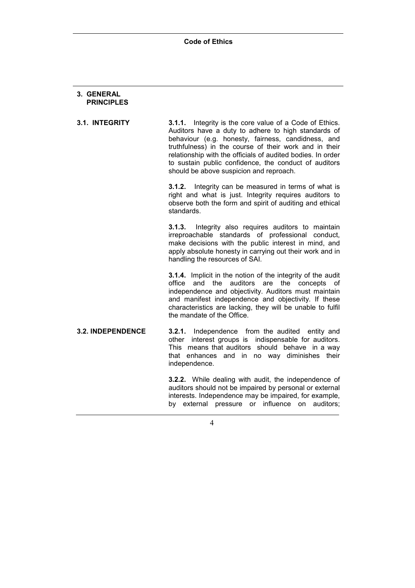## **3. GENERAL PRINCIPLES**

**3.1. INTEGRITY 3.1.1.** Integrity is the core value of a Code of Ethics. Auditors have a duty to adhere to high standards of behaviour (e.g. honesty, fairness, candidness, and truthfulness) in the course of their work and in their relationship with the officials of audited bodies. In order to sustain public confidence, the conduct of auditors should be above suspicion and reproach.

> **3.1.2.** Integrity can be measured in terms of what is right and what is just. Integrity requires auditors to observe both the form and spirit of auditing and ethical standards.

> **3.1.3.** Integrity also requires auditors to maintain irreproachable standards of professional conduct, make decisions with the public interest in mind, and apply absolute honesty in carrying out their work and in handling the resources of SAI.

> **3.1.4.** Implicit in the notion of the integrity of the audit office and the auditors are the concepts of independence and objectivity. Auditors must maintain and manifest independence and objectivity. If these characteristics are lacking, they will be unable to fulfil the mandate of the Office.

**3.2. INDEPENDENCE 3.2.1.** Independence from the audited entity and other interest groups is indispensable for auditors. This means that auditors should behave in a way that enhances and in no way diminishes their independence.

> **3.2.2.** While dealing with audit, the independence of auditors should not be impaired by personal or external interests. Independence may be impaired, for example, by external pressure or influence on auditors;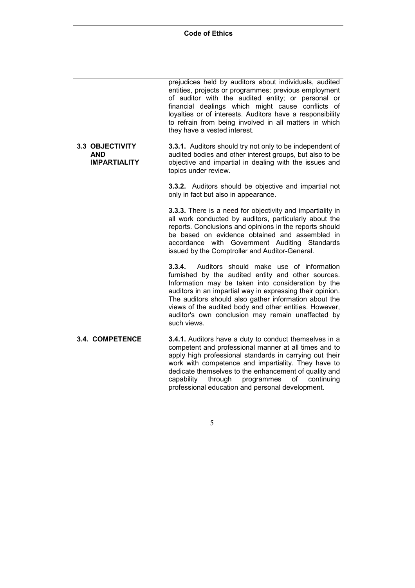|                                                             | prejudices held by auditors about individuals, audited<br>entities, projects or programmes; previous employment<br>of auditor with the audited entity; or personal or<br>financial dealings which might cause conflicts of<br>loyalties or of interests. Auditors have a responsibility<br>to refrain from being involved in all matters in which<br>they have a vested interest.                                 |
|-------------------------------------------------------------|-------------------------------------------------------------------------------------------------------------------------------------------------------------------------------------------------------------------------------------------------------------------------------------------------------------------------------------------------------------------------------------------------------------------|
| <b>3.3 OBJECTIVITY</b><br><b>AND</b><br><b>IMPARTIALITY</b> | 3.3.1. Auditors should try not only to be independent of<br>audited bodies and other interest groups, but also to be<br>objective and impartial in dealing with the issues and<br>topics under review.                                                                                                                                                                                                            |
|                                                             | 3.3.2. Auditors should be objective and impartial not<br>only in fact but also in appearance.                                                                                                                                                                                                                                                                                                                     |
|                                                             | 3.3.3. There is a need for objectivity and impartiality in<br>all work conducted by auditors, particularly about the<br>reports. Conclusions and opinions in the reports should<br>be based on evidence obtained and assembled in<br>accordance with Government Auditing Standards<br>issued by the Comptroller and Auditor-General.                                                                              |
|                                                             | 3.3.4.<br>Auditors should make use of information<br>furnished by the audited entity and other sources.<br>Information may be taken into consideration by the<br>auditors in an impartial way in expressing their opinion.<br>The auditors should also gather information about the<br>views of the audited body and other entities. However,<br>auditor's own conclusion may remain unaffected by<br>such views. |
| 3.4. COMPETENCE                                             | 3.4.1. Auditors have a duty to conduct themselves in a<br>competent and professional manner at all times and to<br>apply high professional standards in carrying out their<br>work with competence and impartiality. They have to<br>dedicate themselves to the enhancement of quality and<br>through<br>programmes<br>capability<br>of<br>continuing<br>professional education and personal development.         |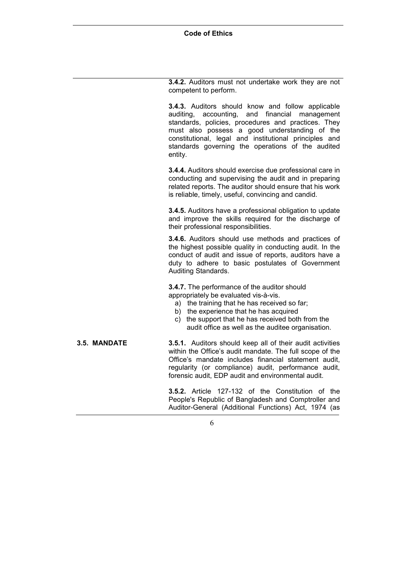**3.4.2.** Auditors must not undertake work they are not competent to perform.

**3.4.3.** Auditors should know and follow applicable auditing, accounting, and financial management standards, policies, procedures and practices. They must also possess a good understanding of the constitutional, legal and institutional principles and standards governing the operations of the audited entity.

**3.4.4.** Auditors should exercise due professional care in conducting and supervising the audit and in preparing related reports. The auditor should ensure that his work is reliable, timely, useful, convincing and candid.

**3.4.5.** Auditors have a professional obligation to update and improve the skills required for the discharge of their professional responsibilities.

**3.4.6.** Auditors should use methods and practices of the highest possible quality in conducting audit. In the conduct of audit and issue of reports, auditors have a duty to adhere to basic postulates of Government Auditing Standards.

**3.4.7.** The performance of the auditor should appropriately be evaluated vis-à-vis.

- a) the training that he has received so far;
- b) the experience that he has acquired
- c) the support that he has received both from the audit office as well as the auditee organisation.

**3.5. MANDATE 3.5.1.** Auditors should keep all of their audit activities within the Office's audit mandate. The full scope of the Office's mandate includes financial statement audit, regularity (or compliance) audit, performance audit, forensic audit, EDP audit and environmental audit.

> **3.5.2.** Article 127-132 of the Constitution of the People's Republic of Bangladesh and Comptroller and Auditor-General (Additional Functions) Act, 1974 (as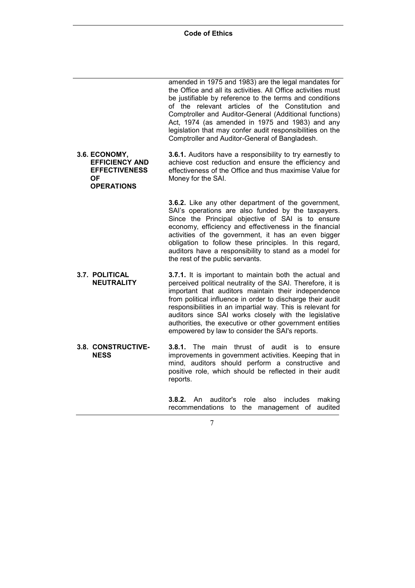|                                                                                                  | amended in 1975 and 1983) are the legal mandates for<br>the Office and all its activities. All Office activities must<br>be justifiable by reference to the terms and conditions<br>of the relevant articles of the Constitution and<br>Comptroller and Auditor-General (Additional functions)<br>Act, 1974 (as amended in 1975 and 1983) and any<br>legislation that may confer audit responsibilities on the<br>Comptroller and Auditor-General of Bangladesh.                |
|--------------------------------------------------------------------------------------------------|---------------------------------------------------------------------------------------------------------------------------------------------------------------------------------------------------------------------------------------------------------------------------------------------------------------------------------------------------------------------------------------------------------------------------------------------------------------------------------|
| 3.6. ECONOMY,<br><b>EFFICIENCY AND</b><br><b>EFFECTIVENESS</b><br><b>OF</b><br><b>OPERATIONS</b> | 3.6.1. Auditors have a responsibility to try earnestly to<br>achieve cost reduction and ensure the efficiency and<br>effectiveness of the Office and thus maximise Value for<br>Money for the SAI.                                                                                                                                                                                                                                                                              |
|                                                                                                  | 3.6.2. Like any other department of the government,<br>SAI's operations are also funded by the taxpayers.<br>Since the Principal objective of SAI is to ensure<br>economy, efficiency and effectiveness in the financial<br>activities of the government, it has an even bigger<br>obligation to follow these principles. In this regard,<br>auditors have a responsibility to stand as a model for<br>the rest of the public servants.                                         |
| <b>3.7. POLITICAL</b><br><b>NEUTRALITY</b>                                                       | 3.7.1. It is important to maintain both the actual and<br>perceived political neutrality of the SAI. Therefore, it is<br>important that auditors maintain their independence<br>from political influence in order to discharge their audit<br>responsibilities in an impartial way. This is relevant for<br>auditors since SAI works closely with the legislative<br>authorities, the executive or other government entities<br>empowered by law to consider the SAI's reports. |
| 3.8. CONSTRUCTIVE-<br><b>NESS</b>                                                                | main thrust of audit is<br><b>3.8.1.</b> The<br>to<br>ensure<br>improvements in government activities. Keeping that in<br>mind, auditors should perform a constructive and<br>positive role, which should be reflected in their audit<br>reports.                                                                                                                                                                                                                               |
|                                                                                                  | auditor's<br>role<br>also<br>includes<br>3.8.2.<br>An.<br>making<br>recommendations<br>the management of<br>audited<br>to                                                                                                                                                                                                                                                                                                                                                       |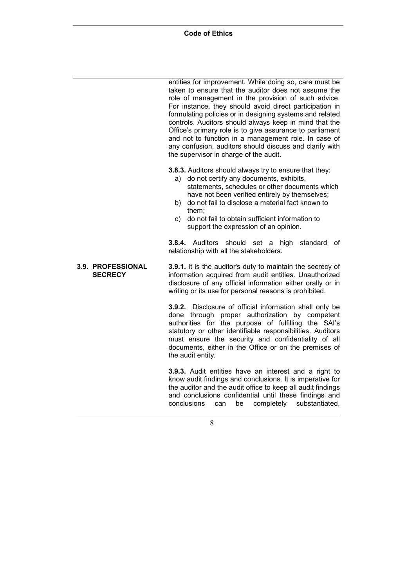|  |  | <b>Code of Ethics</b> |
|--|--|-----------------------|
|--|--|-----------------------|

entities for improvement. While doing so, care must be taken to ensure that the auditor does not assume the role of management in the provision of such advice. For instance, they should avoid direct participation in formulating policies or in designing systems and related controls. Auditors should always keep in mind that the Office's primary role is to give assurance to parliament and not to function in a management role. In case of any confusion, auditors should discuss and clarify with the supervisor in charge of the audit.

**3.8.3.** Auditors should always try to ensure that they:

- a) do not certify any documents, exhibits, statements, schedules or other documents which have not been verified entirely by themselves;
- b) do not fail to disclose a material fact known to them;
- c) do not fail to obtain sufficient information to support the expression of an opinion.

**3.8.4.** Auditors should set a high standard of relationship with all the stakeholders.

#### **3.9. PROFESSIONAL SECRECY 3.9.1.** It is the auditor's duty to maintain the secrecy of information acquired from audit entities. Unauthorized disclosure of any official information either orally or in writing or its use for personal reasons is prohibited.

**3.9.2.** Disclosure of official information shall only be done through proper authorization by competent authorities for the purpose of fulfilling the SAI's statutory or other identifiable responsibilities. Auditors must ensure the security and confidentiality of all documents, either in the Office or on the premises of the audit entity.

**3.9.3.** Audit entities have an interest and a right to know audit findings and conclusions. It is imperative for the auditor and the audit office to keep all audit findings and conclusions confidential until these findings and conclusions can be completely substantiated,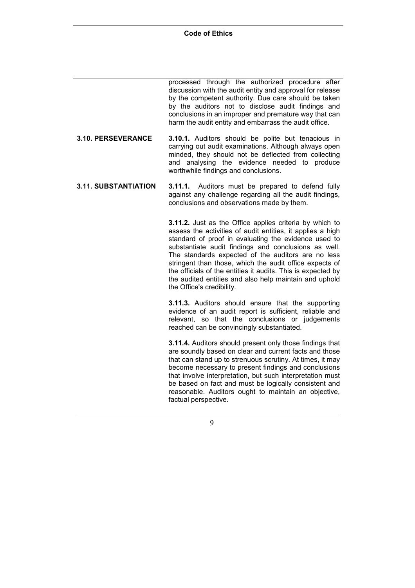processed through the authorized procedure after discussion with the audit entity and approval for release by the competent authority. Due care should be taken by the auditors not to disclose audit findings and conclusions in an improper and premature way that can harm the audit entity and embarrass the audit office.

- **3.10. PERSEVERANCE 3.10.1.** Auditors should be polite but tenacious in carrying out audit examinations. Although always open minded, they should not be deflected from collecting and analysing the evidence needed to produce worthwhile findings and conclusions.
- **3.11. SUBSTANTIATION 3.11.1.** Auditors must be prepared to defend fully against any challenge regarding all the audit findings, conclusions and observations made by them.

**3.11.2.** Just as the Office applies criteria by which to assess the activities of audit entities, it applies a high standard of proof in evaluating the evidence used to substantiate audit findings and conclusions as well. The standards expected of the auditors are no less stringent than those, which the audit office expects of the officials of the entities it audits. This is expected by the audited entities and also help maintain and uphold the Office's credibility.

**3.11.3.** Auditors should ensure that the supporting evidence of an audit report is sufficient, reliable and relevant, so that the conclusions or judgements reached can be convincingly substantiated.

**3.11.4.** Auditors should present only those findings that are soundly based on clear and current facts and those that can stand up to strenuous scrutiny. At times, it may become necessary to present findings and conclusions that involve interpretation, but such interpretation must be based on fact and must be logically consistent and reasonable. Auditors ought to maintain an objective, factual perspective.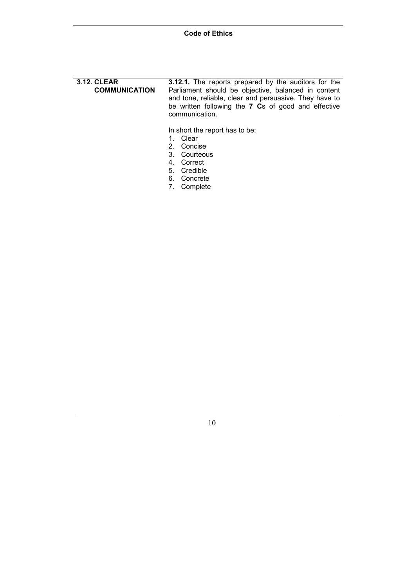**3.12. CLEAR COMMUNICATION 3.12.1.** The reports prepared by the auditors for the Parliament should be objective, balanced in content and tone, reliable, clear and persuasive. They have to be written following the **7 C**s of good and effective communication.

In short the report has to be:

- 1. Clear
- 2. Concise
- 3. Courteous
- 4. Correct
- 5. Credible
- 6. Concrete
- 7. Complete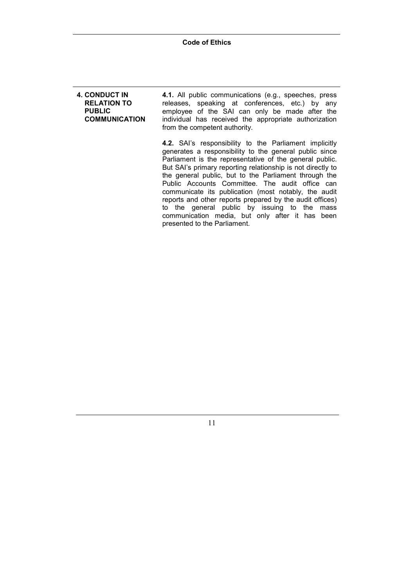### **4. CONDUCT IN RELATION TO PUBLIC COMMUNICATION 4.1.** All public communications (e.g., speeches, press releases, speaking at conferences, etc.) by any employee of the SAI can only be made after the individual has received the appropriate authorization from the competent authority. **4.2.** SAI's responsibility to the Parliament implicitly

generates a responsibility to the general public since Parliament is the representative of the general public. But SAI's primary reporting relationship is not directly to the general public, but to the Parliament through the Public Accounts Committee. The audit office can communicate its publication (most notably, the audit reports and other reports prepared by the audit offices) to the general public by issuing to the mass communication media, but only after it has been presented to the Parliament.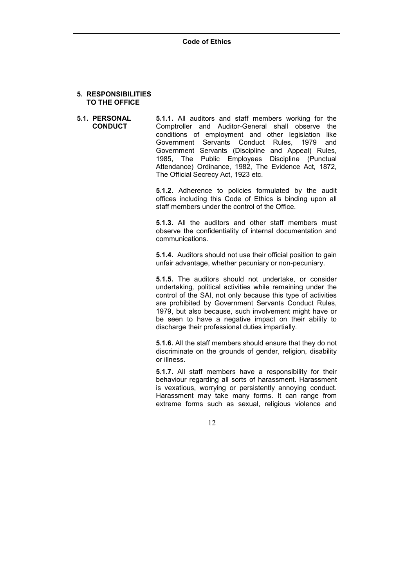### **5. RESPONSIBILITIES TO THE OFFICE**

**5.1. PERSONAL CONDUCT 5.1.1.** All auditors and staff members working for the Comptroller and Auditor-General shall observe the conditions of employment and other legislation like Government Servants Conduct Rules, 1979 and Government Servants (Discipline and Appeal) Rules, 1985, The Public Employees Discipline (Punctual Attendance) Ordinance, 1982, The Evidence Act, 1872, The Official Secrecy Act, 1923 etc.

> **5.1.2.** Adherence to policies formulated by the audit offices including this Code of Ethics is binding upon all staff members under the control of the Office.

> **5.1.3.** All the auditors and other staff members must observe the confidentiality of internal documentation and communications.

> **5.1.4.** Auditors should not use their official position to gain unfair advantage, whether pecuniary or non-pecuniary.

> **5.1.5.** The auditors should not undertake, or consider undertaking, political activities while remaining under the control of the SAI, not only because this type of activities are prohibited by Government Servants Conduct Rules, 1979, but also because, such involvement might have or be seen to have a negative impact on their ability to discharge their professional duties impartially.

> **5.1.6.** All the staff members should ensure that they do not discriminate on the grounds of gender, religion, disability or illness.

> **5.1.7.** All staff members have a responsibility for their behaviour regarding all sorts of harassment. Harassment is vexatious, worrying or persistently annoying conduct. Harassment may take many forms. It can range from extreme forms such as sexual, religious violence and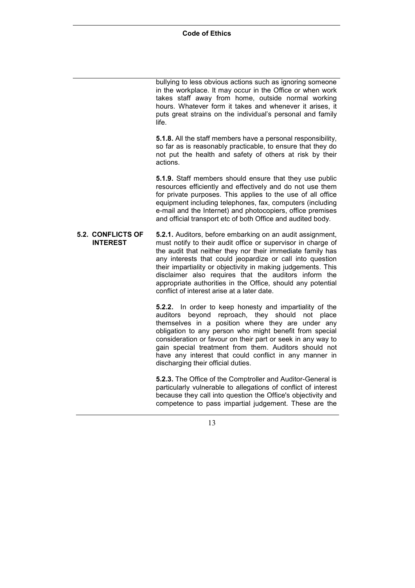bullying to less obvious actions such as ignoring someone in the workplace. It may occur in the Office or when work takes staff away from home, outside normal working hours. Whatever form it takes and whenever it arises, it puts great strains on the individual's personal and family life.

**5.1.8.** All the staff members have a personal responsibility, so far as is reasonably practicable, to ensure that they do not put the health and safety of others at risk by their actions.

**5.1.9.** Staff members should ensure that they use public resources efficiently and effectively and do not use them for private purposes. This applies to the use of all office equipment including telephones, fax, computers (including e-mail and the Internet) and photocopiers, office premises and official transport etc of both Office and audited body.

**5.2. CONFLICTS OF INTEREST 5.2.1.** Auditors, before embarking on an audit assignment, must notify to their audit office or supervisor in charge of the audit that neither they nor their immediate family has any interests that could jeopardize or call into question their impartiality or objectivity in making judgements. This disclaimer also requires that the auditors inform the appropriate authorities in the Office, should any potential conflict of interest arise at a later date.

> **5.2.2.** In order to keep honesty and impartiality of the auditors beyond reproach, they should not place themselves in a position where they are under any obligation to any person who might benefit from special consideration or favour on their part or seek in any way to gain special treatment from them. Auditors should not have any interest that could conflict in any manner in discharging their official duties.

> **5.2.3.** The Office of the Comptroller and Auditor-General is particularly vulnerable to allegations of conflict of interest because they call into question the Office's objectivity and competence to pass impartial judgement. These are the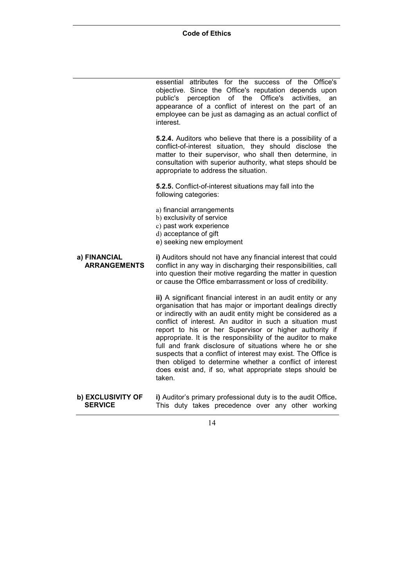essential attributes for the success of the Office's objective. Since the Office's reputation depends upon public's perception of the Office's activities, an appearance of a conflict of interest on the part of an employee can be just as damaging as an actual conflict of interest.

**5.2.4.** Auditors who believe that there is a possibility of a conflict-of-interest situation, they should disclose the matter to their supervisor, who shall then determine, in consultation with superior authority, what steps should be appropriate to address the situation.

**5.2.5.** Conflict-of-interest situations may fall into the following categories:

- a) financial arrangements
- b) exclusivity of service
- c) past work experience
- d) acceptance of gift
- e) seeking new employment
- **a) FINANCIAL ARRANGEMENTS i)** Auditors should not have any financial interest that could conflict in any way in discharging their responsibilities, call into question their motive regarding the matter in question or cause the Office embarrassment or loss of credibility.

**ii)** A significant financial interest in an audit entity or any organisation that has major or important dealings directly or indirectly with an audit entity might be considered as a conflict of interest. An auditor in such a situation must report to his or her Supervisor or higher authority if appropriate. It is the responsibility of the auditor to make full and frank disclosure of situations where he or she suspects that a conflict of interest may exist. The Office is then obliged to determine whether a conflict of interest does exist and, if so, what appropriate steps should be taken.

**b) EXCLUSIVITY OF SERVICE i)** Auditor's primary professional duty is to the audit Office. This duty takes precedence over any other working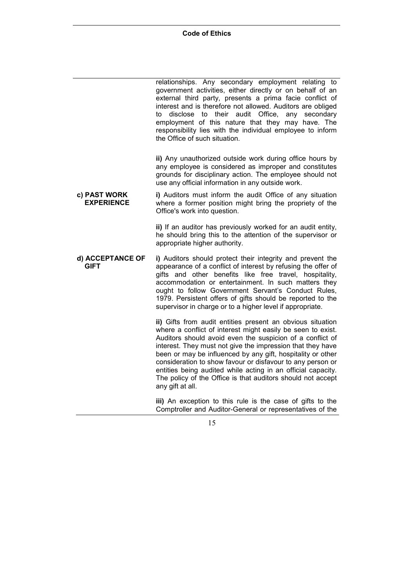relationships. Any secondary employment relating to government activities, either directly or on behalf of an external third party, presents a prima facie conflict of interest and is therefore not allowed. Auditors are obliged to disclose to their audit Office, any secondary employment of this nature that they may have. The responsibility lies with the individual employee to inform the Office of such situation.

**ii)** Any unauthorized outside work during office hours by any employee is considered as improper and constitutes grounds for disciplinary action. The employee should not use any official information in any outside work.

**c) PAST WORK EXPERIENCE i)** Auditors must inform the audit Office of any situation where a former position might bring the propriety of the Office's work into question.

> **ii)** If an auditor has previously worked for an audit entity, he should bring this to the attention of the supervisor or appropriate higher authority.

**d) ACCEPTANCE OF GIFT i)** Auditors should protect their integrity and prevent the appearance of a conflict of interest by refusing the offer of gifts and other benefits like free travel, hospitality, accommodation or entertainment. In such matters they ought to follow Government Servant's Conduct Rules, 1979. Persistent offers of gifts should be reported to the supervisor in charge or to a higher level if appropriate.

> **ii)** Gifts from audit entities present an obvious situation where a conflict of interest might easily be seen to exist. Auditors should avoid even the suspicion of a conflict of interest. They must not give the impression that they have been or may be influenced by any gift, hospitality or other consideration to show favour or disfavour to any person or entities being audited while acting in an official capacity. The policy of the Office is that auditors should not accept any gift at all.

> **iii)** An exception to this rule is the case of gifts to the Comptroller and Auditor-General or representatives of the